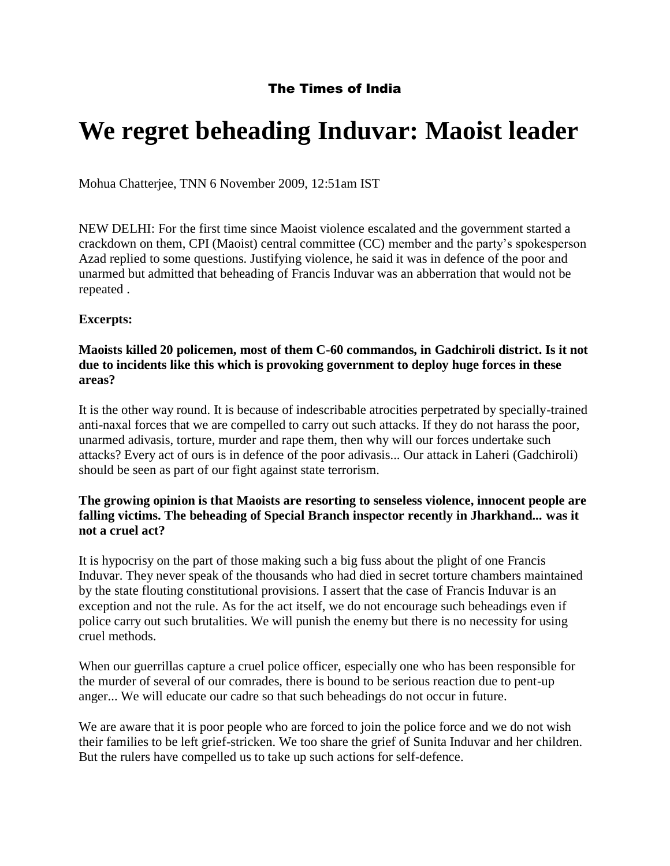# The Times of India

# **We regret beheading Induvar: Maoist leader**

Mohua Chatterjee, TNN 6 November 2009, 12:51am IST

NEW DELHI: For the first time since Maoist violence escalated and the government started a crackdown on them, CPI (Maoist) central committee (CC) member and the party's spokesperson Azad replied to some questions. Justifying violence, he said it was in defence of the poor and unarmed but admitted that beheading of Francis Induvar was an abberration that would not be repeated .

## **Excerpts:**

#### **Maoists killed 20 policemen, most of them C-60 commandos, in Gadchiroli district. Is it not due to incidents like this which is provoking government to deploy huge forces in these areas?**

It is the other way round. It is because of indescribable atrocities perpetrated by specially-trained anti-naxal forces that we are compelled to carry out such attacks. If they do not harass the poor, unarmed adivasis, torture, murder and rape them, then why will our forces undertake such attacks? Every act of ours is in defence of the poor adivasis... Our attack in Laheri (Gadchiroli) should be seen as part of our fight against state terrorism.

## **The growing opinion is that Maoists are resorting to senseless violence, innocent people are falling victims. The beheading of Special Branch inspector recently in Jharkhand... was it not a cruel act?**

It is hypocrisy on the part of those making such a big fuss about the plight of one Francis Induvar. They never speak of the thousands who had died in secret torture chambers maintained by the state flouting constitutional provisions. I assert that the case of Francis Induvar is an exception and not the rule. As for the act itself, we do not encourage such beheadings even if police carry out such brutalities. We will punish the enemy but there is no necessity for using cruel methods.

When our guerrillas capture a cruel police officer, especially one who has been responsible for the murder of several of our comrades, there is bound to be serious reaction due to pent-up anger... We will educate our cadre so that such beheadings do not occur in future.

We are aware that it is poor people who are forced to join the police force and we do not wish their families to be left grief-stricken. We too share the grief of Sunita Induvar and her children. But the rulers have compelled us to take up such actions for self-defence.